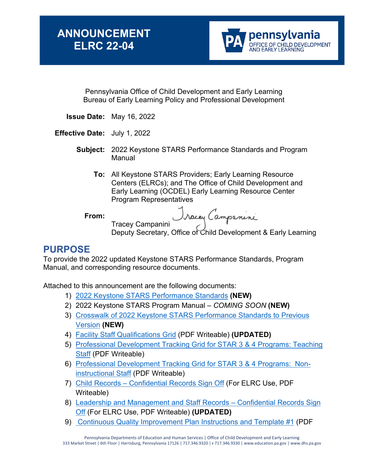

Pennsylvania Office of Child Development and Early Learning Bureau of Early Learning Policy and Professional Development

- **Issue Date:** May 16, 2022
- **Effective Date:** July 1, 2022
	- **Subject:** 2022 Keystone STARS Performance Standards and Program Manual
		- **To:** All Keystone STARS Providers; Early Learning Resource Centers (ELRCs); and The Office of Child Development and Early Learning (OCDEL) Early Learning Resource Center Program Representatives

**From:**

Tracey Campanini

Deputy Secretary, Office of Child Development & Early Learning

### **PURPOSE**

To provide the 2022 updated Keystone STARS Performance Standards, Program Manual, and corresponding resource documents.

Attached to this announcement are the following documents:

- 1) [2022 Keystone STARS Performance Standards](https://gcc02.safelinks.protection.outlook.com/?url=https%3A%2F%2Fwww.pakeys.org%2Fwp-content%2Fuploads%2F2022%2F05%2F2022-Keystone-STARS-Performance-Standards-Final-Updated-5.5.2022.pdf&data=05%7C01%7Cjudfry%40pa.gov%7C20a43000f5384225dab708da35056a16%7C418e284101284dd59b6c47fc5a9a1bde%7C0%7C0%7C637880595019917611%7CUnknown%7CTWFpbGZsb3d8eyJWIjoiMC4wLjAwMDAiLCJQIjoiV2luMzIiLCJBTiI6Ik1haWwiLCJXVCI6Mn0%3D%7C3000%7C%7C%7C&sdata=oYiAjkFSYAc6wqEZB7Dkqjqv34PqIQfpOhdQ%2B7MqE5w%3D&reserved=0) **(NEW)**
- 2) 2022 Keystone STARS Program Manual *COMING SOON* **(NEW)**
- 3) [Crosswalk of 2022 Keystone STARS Performance Standards to Previous](https://gcc02.safelinks.protection.outlook.com/?url=https%3A%2F%2Fwww.pakeys.org%2Fwp-content%2Fuploads%2F2022%2F05%2FCrosswalk-of-2022-Keystone-STARS-Performance-Standards-to-2020-Standards-5.12.2022-FINAL.pdf&data=05%7C01%7Cjudfry%40pa.gov%7Ca72b2d5ac81349a1a7eb08da35040c8e%7C418e284101284dd59b6c47fc5a9a1bde%7C0%7C0%7C637880589195743842%7CUnknown%7CTWFpbGZsb3d8eyJWIjoiMC4wLjAwMDAiLCJQIjoiV2luMzIiLCJBTiI6Ik1haWwiLCJXVCI6Mn0%3D%7C3000%7C%7C%7C&sdata=ovJRUcYDf734YUCs%2F3dk1gn%2BO7a6rCwHqeXWBGBdnmQ%3D&reserved=0)  [Version](https://gcc02.safelinks.protection.outlook.com/?url=https%3A%2F%2Fwww.pakeys.org%2Fwp-content%2Fuploads%2F2022%2F05%2FCrosswalk-of-2022-Keystone-STARS-Performance-Standards-to-2020-Standards-5.12.2022-FINAL.pdf&data=05%7C01%7Cjudfry%40pa.gov%7Ca72b2d5ac81349a1a7eb08da35040c8e%7C418e284101284dd59b6c47fc5a9a1bde%7C0%7C0%7C637880589195743842%7CUnknown%7CTWFpbGZsb3d8eyJWIjoiMC4wLjAwMDAiLCJQIjoiV2luMzIiLCJBTiI6Ik1haWwiLCJXVCI6Mn0%3D%7C3000%7C%7C%7C&sdata=ovJRUcYDf734YUCs%2F3dk1gn%2BO7a6rCwHqeXWBGBdnmQ%3D&reserved=0) **(NEW)**
- 4) [Facility Staff Qualifications Grid](https://gcc02.safelinks.protection.outlook.com/?url=https%3A%2F%2Fwww.pakeys.org%2Fwp-content%2Fuploads%2F2022%2F05%2FFacility-Staff-Qualifications-Grid-7.1.2022-FILLABLE.pdf&data=05%7C01%7Cjudfry%40pa.gov%7C9b37404ed0d84acb2fa708da34f21358%7C418e284101284dd59b6c47fc5a9a1bde%7C0%7C0%7C637880512317866616%7CUnknown%7CTWFpbGZsb3d8eyJWIjoiMC4wLjAwMDAiLCJQIjoiV2luMzIiLCJBTiI6Ik1haWwiLCJXVCI6Mn0%3D%7C3000%7C%7C%7C&sdata=1Nd90g3dRNPxfe6YOEO11IpuqBieNICGfNIFhNGwtPc%3D&reserved=0) (PDF Writeable) **(UPDATED)**
- 5) [Professional Development Tracking Grid for STAR 3 & 4 Programs: Teaching](https://gcc02.safelinks.protection.outlook.com/?url=https%3A%2F%2Fwww.pakeys.org%2Fwp-content%2Fuploads%2F2022%2F05%2FProfessional-Development-Tracking-Grid-for-STAR-3-4-Programs-Teaching-Staff-7.1.2022-FILLABLE.pdf&data=05%7C01%7Cjudfry%40pa.gov%7C9b37404ed0d84acb2fa708da34f21358%7C418e284101284dd59b6c47fc5a9a1bde%7C0%7C0%7C637880512317866616%7CUnknown%7CTWFpbGZsb3d8eyJWIjoiMC4wLjAwMDAiLCJQIjoiV2luMzIiLCJBTiI6Ik1haWwiLCJXVCI6Mn0%3D%7C3000%7C%7C%7C&sdata=zdeEdCf7LUzKxFKPyt5qpDUipVagTzJxbGC0Mxf7sw4%3D&reserved=0)  [Staff](https://gcc02.safelinks.protection.outlook.com/?url=https%3A%2F%2Fwww.pakeys.org%2Fwp-content%2Fuploads%2F2022%2F05%2FProfessional-Development-Tracking-Grid-for-STAR-3-4-Programs-Teaching-Staff-7.1.2022-FILLABLE.pdf&data=05%7C01%7Cjudfry%40pa.gov%7C9b37404ed0d84acb2fa708da34f21358%7C418e284101284dd59b6c47fc5a9a1bde%7C0%7C0%7C637880512317866616%7CUnknown%7CTWFpbGZsb3d8eyJWIjoiMC4wLjAwMDAiLCJQIjoiV2luMzIiLCJBTiI6Ik1haWwiLCJXVCI6Mn0%3D%7C3000%7C%7C%7C&sdata=zdeEdCf7LUzKxFKPyt5qpDUipVagTzJxbGC0Mxf7sw4%3D&reserved=0) (PDF Writeable)
- 6) [Professional Development Tracking Grid for STAR 3 & 4 Programs: Non](https://gcc02.safelinks.protection.outlook.com/?url=https%3A%2F%2Fwww.pakeys.org%2Fwp-content%2Fuploads%2F2022%2F05%2FProfessional-Development-Tracking-Grid-for-STAR-3-4-Programs-Non-Instructional-Staff-7.1.2022-FILLABLE.pdf&data=05%7C01%7Cjudfry%40pa.gov%7C9b37404ed0d84acb2fa708da34f21358%7C418e284101284dd59b6c47fc5a9a1bde%7C0%7C0%7C637880512317866616%7CUnknown%7CTWFpbGZsb3d8eyJWIjoiMC4wLjAwMDAiLCJQIjoiV2luMzIiLCJBTiI6Ik1haWwiLCJXVCI6Mn0%3D%7C3000%7C%7C%7C&sdata=AQ7I12oHFlf%2BNWfFXLAo6X8tAvR4cdFmBr78JfHOvH4%3D&reserved=0)[instructional Staff](https://gcc02.safelinks.protection.outlook.com/?url=https%3A%2F%2Fwww.pakeys.org%2Fwp-content%2Fuploads%2F2022%2F05%2FProfessional-Development-Tracking-Grid-for-STAR-3-4-Programs-Non-Instructional-Staff-7.1.2022-FILLABLE.pdf&data=05%7C01%7Cjudfry%40pa.gov%7C9b37404ed0d84acb2fa708da34f21358%7C418e284101284dd59b6c47fc5a9a1bde%7C0%7C0%7C637880512317866616%7CUnknown%7CTWFpbGZsb3d8eyJWIjoiMC4wLjAwMDAiLCJQIjoiV2luMzIiLCJBTiI6Ik1haWwiLCJXVCI6Mn0%3D%7C3000%7C%7C%7C&sdata=AQ7I12oHFlf%2BNWfFXLAo6X8tAvR4cdFmBr78JfHOvH4%3D&reserved=0) (PDF Writeable)
- 7) [Child Records Confidential Records Sign Off](https://www.pakeys.org/wp-content/uploads/2022/05/Confidential-Records-Sign-Off-Form-Childrens-Records-7.1.2022-FILLABLE.pdf) (For ELRC Use, PDF Writeable)
- 8) [Leadership and Management and Staff Records Confidential Records Sign](https://www.pakeys.org/wp-content/uploads/2022/05/Confidential-Records-Sign-Off-Form-Leadership-Management-and-Program-Staff-7.1.2022-WRITEABLE.pdf)  [Off](https://www.pakeys.org/wp-content/uploads/2022/05/Confidential-Records-Sign-Off-Form-Leadership-Management-and-Program-Staff-7.1.2022-WRITEABLE.pdf) (For ELRC Use, PDF Writeable) **(UPDATED)**
- 9) [Continuous Quality Improvement Plan Instructions and Template #1](https://gcc02.safelinks.protection.outlook.com/?url=https%3A%2F%2Fwww.pakeys.org%2Fwp-content%2Fuploads%2F2022%2F05%2FKeystone-STARS-CQI-Plan-Instructions-and-Example-1-7.1.2022-FILLABLE.pdf&data=05%7C01%7Cjudfry%40pa.gov%7C9b37404ed0d84acb2fa708da34f21358%7C418e284101284dd59b6c47fc5a9a1bde%7C0%7C0%7C637880512317866616%7CUnknown%7CTWFpbGZsb3d8eyJWIjoiMC4wLjAwMDAiLCJQIjoiV2luMzIiLCJBTiI6Ik1haWwiLCJXVCI6Mn0%3D%7C3000%7C%7C%7C&sdata=e1vVuhNSds%2BSrfxtT6cjyqOvgW96espzjWxhGqPnB2w%3D&reserved=0) (PDF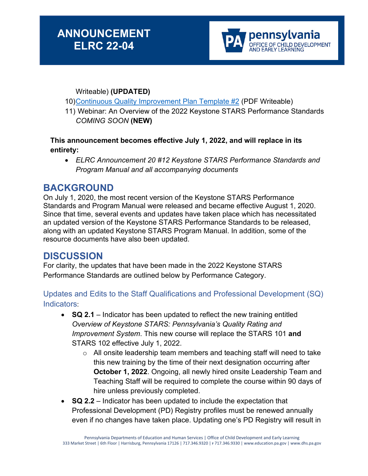

#### Writeable) **(UPDATED)**

- 10[\)Continuous Quality Improvement Plan Template #2](https://gcc02.safelinks.protection.outlook.com/?url=https%3A%2F%2Fwww.pakeys.org%2Fwp-content%2Fuploads%2F2022%2F05%2FKeystone-STARS-CQI-Plan-Example-2-7.1.2022-FILLABLE.pdf&data=05%7C01%7Cjudfry%40pa.gov%7C9b37404ed0d84acb2fa708da34f21358%7C418e284101284dd59b6c47fc5a9a1bde%7C0%7C0%7C637880512317866616%7CUnknown%7CTWFpbGZsb3d8eyJWIjoiMC4wLjAwMDAiLCJQIjoiV2luMzIiLCJBTiI6Ik1haWwiLCJXVCI6Mn0%3D%7C3000%7C%7C%7C&sdata=t6N%2FKs6aqxMKMLcgdPbIqt9%2BV3okgFLUIQfPWKAMvNM%3D&reserved=0) (PDF Writeable)
- 11) Webinar: An Overview of the 2022 Keystone STARS Performance Standards *COMING SOON* **(NEW)**

#### **This announcement becomes effective July 1, 2022, and will replace in its entirety:**

• *ELRC Announcement 20 #12 Keystone STARS Performance Standards and Program Manual and all accompanying documents*

### **BACKGROUND**

On July 1, 2020, the most recent version of the Keystone STARS Performance Standards and Program Manual were released and became effective August 1, 2020. Since that time, several events and updates have taken place which has necessitated an updated version of the Keystone STARS Performance Standards to be released, along with an updated Keystone STARS Program Manual. In addition, some of the resource documents have also been updated.

### **DISCUSSION**

For clarity, the updates that have been made in the 2022 Keystone STARS Performance Standards are outlined below by Performance Category.

#### Updates and Edits to the Staff Qualifications and Professional Development (SQ) Indicators:

- **SQ 2.1** Indicator has been updated to reflect the new training entitled *Overview of Keystone STARS: Pennsylvania's Quality Rating and Improvement System*. This new course will replace the STARS 101 **and** STARS 102 effective July 1, 2022.
	- $\circ$  All onsite leadership team members and teaching staff will need to take this new training by the time of their next designation occurring after **October 1, 2022**. Ongoing, all newly hired onsite Leadership Team and Teaching Staff will be required to complete the course within 90 days of hire unless previously completed.
- **SQ 2.2** Indicator has been updated to include the expectation that Professional Development (PD) Registry profiles must be renewed annually even if no changes have taken place. Updating one's PD Registry will result in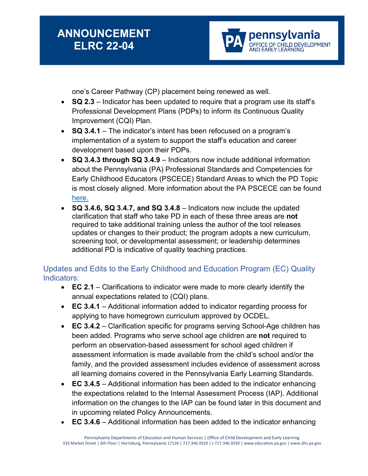pennsylvania FICE OF CHILD DEVELOPMENT<br>D EARLY LEARNING

one's Career Pathway (CP) placement being renewed as well.

- **SQ 2.3** Indicator has been updated to require that a program use its staff's Professional Development Plans (PDPs) to inform its Continuous Quality Improvement (CQI) Plan.
- **SQ 3.4.1** The indicator's intent has been refocused on a program's implementation of a system to support the staff's education and career development based upon their PDPs.
- **SQ 3.4.3 through SQ 3.4.9** Indicators now include additional information about the Pennsylvania (PA) Professional Standards and Competencies for Early Childhood Educators (PSCECE) Standard Areas to which the PD Topic is most closely aligned. More information about the PA PSCECE can be found [here.](https://www.pakeys.org/get-professional-development/professional-competencies/early-learning-professional-competencies/)
- **SQ 3.4.6, SQ 3.4.7, and SQ 3.4.8** Indicators now include the updated clarification that staff who take PD in each of these three areas are **not** required to take additional training unless the author of the tool releases updates or changes to their product; the program adopts a new curriculum, screening tool, or developmental assessment; or leadership determines additional PD is indicative of quality teaching practices.

Updates and Edits to the Early Childhood and Education Program (EC) Quality Indicators:

- **EC 2.1** Clarifications to indicator were made to more clearly identify the annual expectations related to (CQI) plans.
- **EC 3.4.1** Additional information added to indicator regarding process for applying to have homegrown curriculum approved by OCDEL.
- **EC 3.4.2** Clarification specific for programs serving School-Age children has been added. Programs who serve school age children are **not** required to perform an observation-based assessment for school aged children if assessment information is made available from the child's school and/or the family, and the provided assessment includes evidence of assessment across all learning domains covered in the Pennsylvania Early Learning Standards.
- **EC 3.4.5** Additional information has been added to the indicator enhancing the expectations related to the Internal Assessment Process (IAP). Additional information on the changes to the IAP can be found later in this document and in upcoming related Policy Announcements.
- **EC 3.4.6** Additional information has been added to the indicator enhancing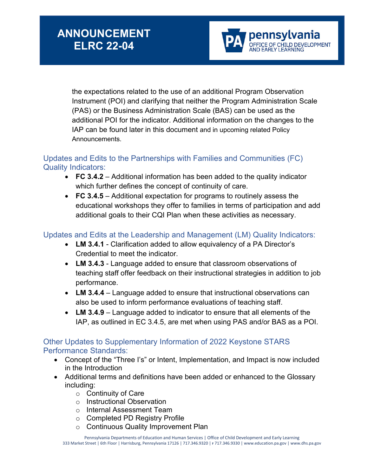

the expectations related to the use of an additional Program Observation Instrument (POI) and clarifying that neither the Program Administration Scale (PAS) or the Business Administration Scale (BAS) can be used as the additional POI for the indicator. Additional information on the changes to the IAP can be found later in this document and in upcoming related Policy Announcements.

#### Updates and Edits to the Partnerships with Families and Communities (FC) Quality Indicators:

- **FC 3.4.2** Additional information has been added to the quality indicator which further defines the concept of continuity of care.
- **FC 3.4.5** Additional expectation for programs to routinely assess the educational workshops they offer to families in terms of participation and add additional goals to their CQI Plan when these activities as necessary.

#### Updates and Edits at the Leadership and Management (LM) Quality Indicators:

- **LM 3.4.1** Clarification added to allow equivalency of a PA Director's Credential to meet the indicator.
- **LM 3.4.3** Language added to ensure that classroom observations of teaching staff offer feedback on their instructional strategies in addition to job performance.
- **LM 3.4.4** Language added to ensure that instructional observations can also be used to inform performance evaluations of teaching staff.
- **LM 3.4.9** Language added to indicator to ensure that all elements of the IAP, as outlined in EC 3.4.5, are met when using PAS and/or BAS as a POI.

#### Other Updates to Supplementary Information of 2022 Keystone STARS Performance Standards:

- Concept of the "Three I's" or Intent, Implementation, and Impact is now included in the Introduction
- Additional terms and definitions have been added or enhanced to the Glossary including:
	- o Continuity of Care
	- o Instructional Observation
	- o Internal Assessment Team
	- o Completed PD Registry Profile
	- o Continuous Quality Improvement Plan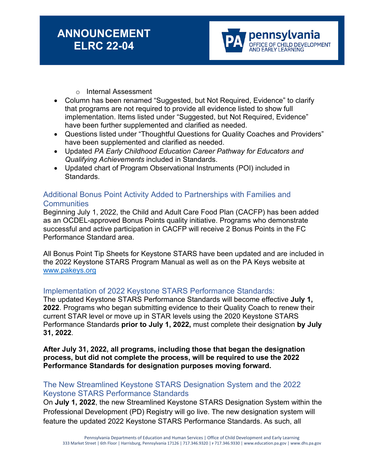#### o Internal Assessment

- Column has been renamed "Suggested, but Not Required, Evidence" to clarify that programs are not required to provide all evidence listed to show full implementation. Items listed under "Suggested, but Not Required, Evidence" have been further supplemented and clarified as needed.
- Questions listed under "Thoughtful Questions for Quality Coaches and Providers" have been supplemented and clarified as needed.
- Updated *PA Early Childhood Education Career Pathway for Educators and Qualifying Achievements* included in Standards.
- Updated chart of Program Observational Instruments (POI) included in Standards.

#### Additional Bonus Point Activity Added to Partnerships with Families and **Communities**

Beginning July 1, 2022, the Child and Adult Care Food Plan (CACFP) has been added as an OCDEL-approved Bonus Points quality initiative. Programs who demonstrate successful and active participation in CACFP will receive 2 Bonus Points in the FC Performance Standard area.

All Bonus Point Tip Sheets for Keystone STARS have been updated and are included in the 2022 Keystone STARS Program Manual as well as on the PA Keys website at [www.pakeys.org](http://www.pakeys.org/)

#### Implementation of 2022 Keystone STARS Performance Standards:

The updated Keystone STARS Performance Standards will become effective **July 1, 2022**. Programs who began submitting evidence to their Quality Coach to renew their current STAR level or move up in STAR levels using the 2020 Keystone STARS Performance Standards **prior to July 1, 2022,** must complete their designation **by July 31, 2022**.

**After July 31, 2022, all programs, including those that began the designation process, but did not complete the process, will be required to use the 2022 Performance Standards for designation purposes moving forward.**

#### The New Streamlined Keystone STARS Designation System and the 2022 Keystone STARS Performance Standards

On **July 1, 2022**, the new Streamlined Keystone STARS Designation System within the Professional Development (PD) Registry will go live. The new designation system will feature the updated 2022 Keystone STARS Performance Standards. As such, all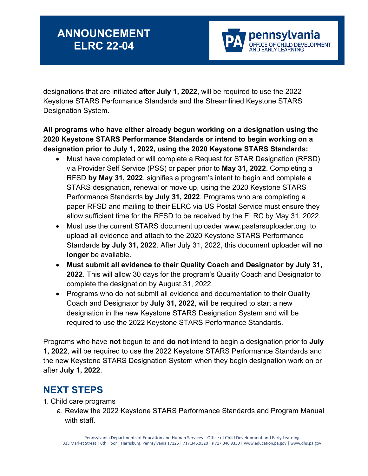

designations that are initiated **after July 1, 2022**, will be required to use the 2022 Keystone STARS Performance Standards and the Streamlined Keystone STARS Designation System.

#### **All programs who have either already begun working on a designation using the 2020 Keystone STARS Performance Standards or intend to begin working on a designation prior to July 1, 2022, using the 2020 Keystone STARS Standards:**

- Must have completed or will complete a Request for STAR Designation (RFSD) via Provider Self Service (PSS) or paper prior to **May 31, 2022**. Completing a RFSD **by May 31, 2022**, signifies a program's intent to begin and complete a STARS designation, renewal or move up, using the 2020 Keystone STARS Performance Standards **by July 31, 2022**. Programs who are completing a paper RFSD and mailing to their ELRC via US Postal Service must ensure they allow sufficient time for the RFSD to be received by the ELRC by May 31, 2022.
- Must use the current STARS document uploader [www.pastarsuploader.org](http://www.pastarsuploader.org/) to upload all evidence and attach to the 2020 Keystone STARS Performance Standards **by July 31, 2022**. After July 31, 2022, this document uploader will **no longer** be available.
- **Must submit all evidence to their Quality Coach and Designator by July 31, 2022**. This will allow 30 days for the program's Quality Coach and Designator to complete the designation by August 31, 2022.
- Programs who do not submit all evidence and documentation to their Quality Coach and Designator by **July 31, 2022**, will be required to start a new designation in the new Keystone STARS Designation System and will be required to use the 2022 Keystone STARS Performance Standards.

Programs who have **not** begun to and **do not** intend to begin a designation prior to **July 1, 2022**, will be required to use the 2022 Keystone STARS Performance Standards and the new Keystone STARS Designation System when they begin designation work on or after **July 1, 2022**.

### **NEXT STEPS**

- 1. Child care programs
	- a. Review the 2022 Keystone STARS Performance Standards and Program Manual with staff.